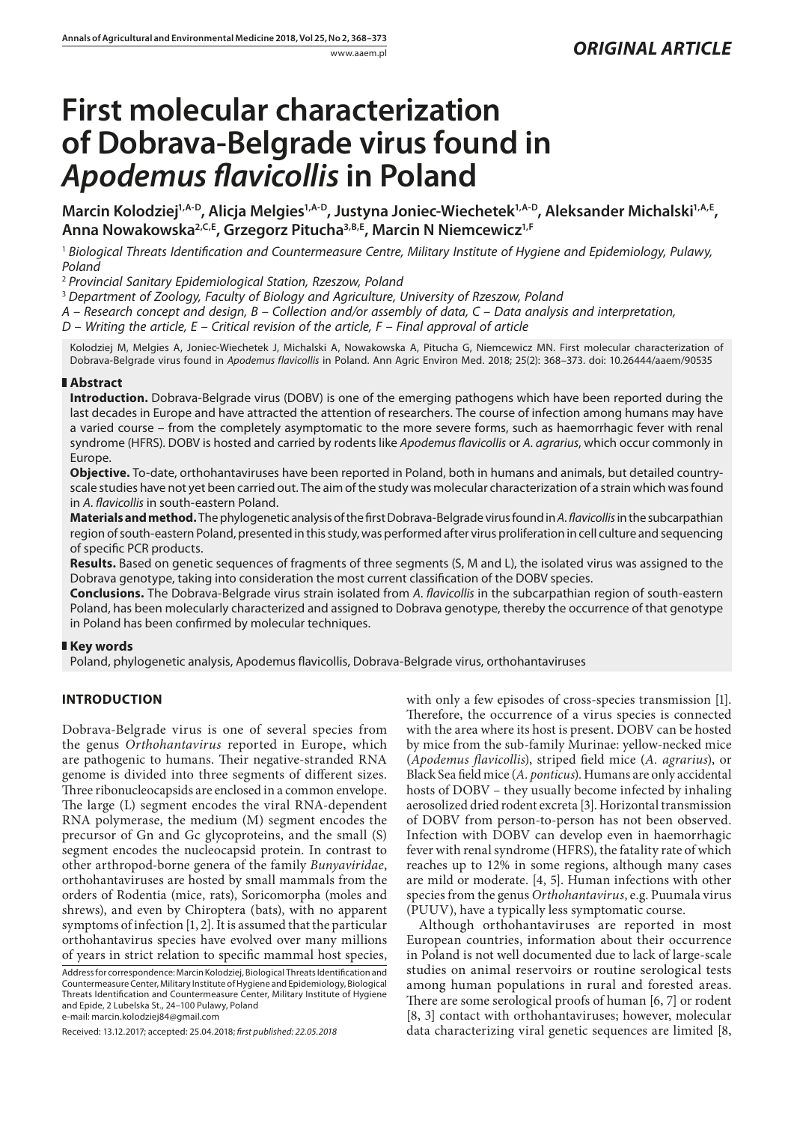# **First molecular characterization of Dobrava-Belgrade virus found in**  *Apodemus flavicollis* **in Poland**

Marcin Kolodziej<sup>1,A-D</sup>, Alicja Melgies<sup>1,A-D</sup>, Justyna Joniec-Wiechetek<sup>1,A-D</sup>, Aleksander Michalski<sup>1,A,E</sup>, **Anna Nowakowska2,C,E, Grzegorz Pitucha3,B,E, Marcin N Niemcewicz1,F**

<sup>1</sup> *Biological Threats Identification and Countermeasure Centre, Military Institute of Hygiene and Epidemiology, Pulawy, Poland*

<sup>2</sup> *Provincial Sanitary Epidemiological Station, Rzeszow, Poland*

<sup>3</sup> *Department of Zoology, Faculty of Biology and Agriculture, University of Rzeszow, Poland*

*A – Research concept and design, B – Collection and/or assembly of data, C – Data analysis and interpretation,* 

*D – Writing the article, E – Critical revision of the article, F – Final approval of article*

Kolodziej M, Melgies A, Joniec-Wiechetek J, Michalski A, Nowakowska A, Pitucha G, Niemcewicz MN. First molecular characterization of Dobrava-Belgrade virus found in *Apodemus flavicollis* in Poland. Ann Agric Environ Med. 2018; 25(2): 368–373. doi: 10.26444/aaem/90535

# **Abstract**

**Introduction.** Dobrava-Belgrade virus (DOBV) is one of the emerging pathogens which have been reported during the last decades in Europe and have attracted the attention of researchers. The course of infection among humans may have a varied course – from the completely asymptomatic to the more severe forms, such as haemorrhagic fever with renal syndrome (HFRS). DOBV is hosted and carried by rodents like *Apodemus flavicollis* or *A. agrarius*, which occur commonly in Europe.

**Objective.** To-date, orthohantaviruses have been reported in Poland, both in humans and animals, but detailed countryscale studies have not yet been carried out. The aim of the study was molecular characterization of a strain which was found in *A. flavicollis* in south-eastern Poland.

**Materials and method.** The phylogenetic analysis of the first Dobrava-Belgrade virus found in *A. flavicollis* in the subcarpathian region of south-eastern Poland, presented in this study, was performed after virus proliferation in cell culture and sequencing of specific PCR products.

**Results.** Based on genetic sequences of fragments of three segments (S, M and L), the isolated virus was assigned to the Dobrava genotype, taking into consideration the most current classification of the DOBV species.

**Conclusions.** The Dobrava-Belgrade virus strain isolated from *A. flavicollis* in the subcarpathian region of south-eastern Poland, has been molecularly characterized and assigned to Dobrava genotype, thereby the occurrence of that genotype in Poland has been confirmed by molecular techniques.

# **Key words**

Poland, phylogenetic analysis, Apodemus flavicollis, Dobrava-Belgrade virus, orthohantaviruses

# **INTRODUCTION**

Dobrava-Belgrade virus is one of several species from the genus *Orthohantavirus* reported in Europe, which are pathogenic to humans. Their negative-stranded RNA genome is divided into three segments of different sizes. Three ribonucleocapsids are enclosed in a common envelope. The large (L) segment encodes the viral RNA-dependent RNA polymerase, the medium (M) segment encodes the precursor of Gn and Gc glycoproteins, and the small (S) segment encodes the nucleocapsid protein. In contrast to other arthropod-borne genera of the family *Bunyaviridae*, orthohantaviruses are hosted by small mammals from the orders of Rodentia (mice, rats), Soricomorpha (moles and shrews), and even by Chiroptera (bats), with no apparent symptoms of infection [1, 2]. It is assumed that the particular orthohantavirus species have evolved over many millions of years in strict relation to specific mammal host species, Address for correspondence: Marcin Kolodziej, Biological Threats Identification and Countermeasure Center, Military Institute of Hygiene and Epidemiology, Biological Threats Identification and Countermeasure Center, Military Institute of Hygiene and Epide, 2 Lubelska St., 24–100 Pulawy, Poland

e-mail: marcin.kolodziej84@gmail.com

Received: 13.12.2017; accepted: 25.04.2018; *first published: 22.05.2018*

with only a few episodes of cross-species transmission [1]. Therefore, the occurrence of a virus species is connected with the area where its host is present. DOBV can be hosted by mice from the sub-family Murinae: yellow-necked mice (*Apodemus flavicollis*), striped field mice (*A. agrarius*), or Black Sea field mice (*A. ponticus*). Humans are only accidental hosts of DOBV – they usually become infected by inhaling aerosolized dried rodent excreta [3]. Horizontal transmission of DOBV from person-to-person has not been observed. Infection with DOBV can develop even in haemorrhagic fever with renal syndrome (HFRS), the fatality rate of which reaches up to 12% in some regions, although many cases are mild or moderate. [4, 5]. Human infections with other species from the genus *Orthohantavirus*, e.g. Puumala virus (PUUV), have a typically less symptomatic course.

Although orthohantaviruses are reported in most European countries, information about their occurrence in Poland is not well documented due to lack of large-scale studies on animal reservoirs or routine serological tests among human populations in rural and forested areas. There are some serological proofs of human [6, 7] or rodent [8, 3] contact with orthohantaviruses; however, molecular data characterizing viral genetic sequences are limited [8,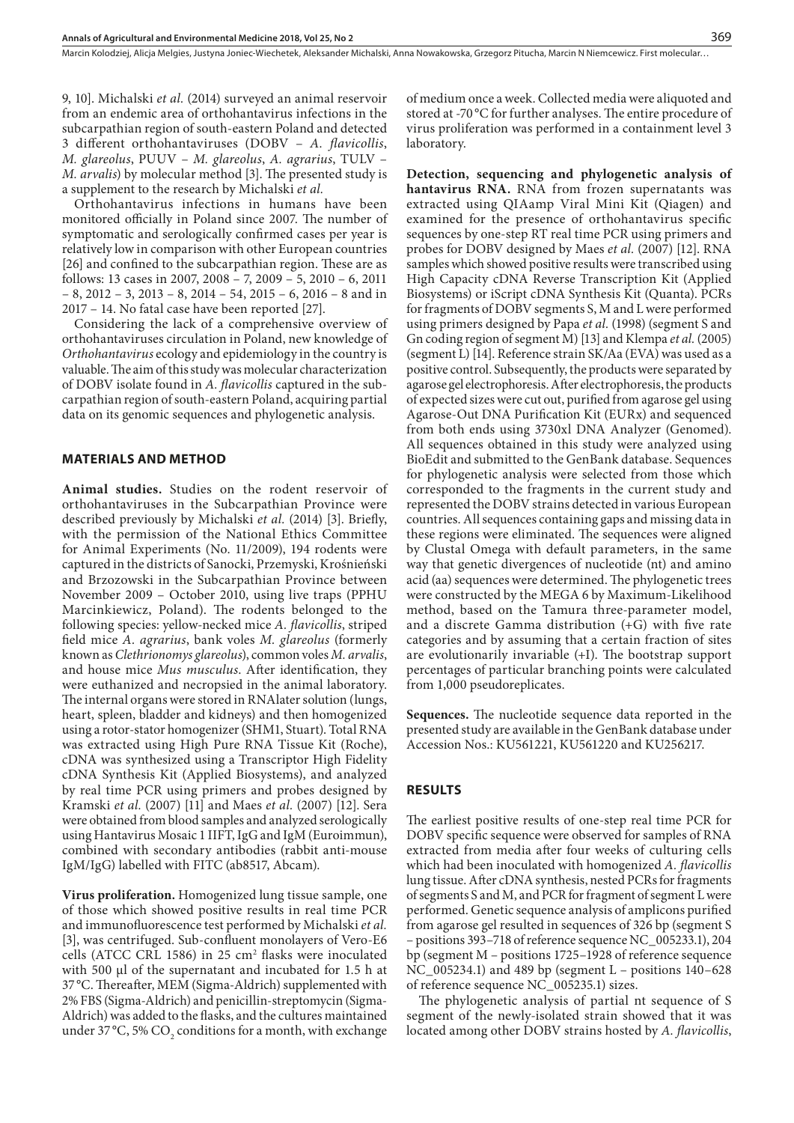9, 10]. Michalski *et al.* (2014) surveyed an animal reservoir from an endemic area of orthohantavirus infections in the subcarpathian region of south-eastern Poland and detected 3 different orthohantaviruses (DOBV – *A. flavicollis*, *M. glareolus*, PUUV – *M. glareolus*, *A. agrarius*, TULV – *M. arvalis*) by molecular method [3]. The presented study is a supplement to the research by Michalski *et al.*

Orthohantavirus infections in humans have been monitored officially in Poland since 2007. The number of symptomatic and serologically confirmed cases per year is relatively low in comparison with other European countries [26] and confined to the subcarpathian region. These are as follows: 13 cases in 2007, 2008 – 7, 2009 – 5, 2010 – 6, 2011 – 8, 2012 – 3, 2013 – 8, 2014 – 54, 2015 – 6, 2016 – 8 and in 2017 – 14. No fatal case have been reported [27].

Considering the lack of a comprehensive overview of orthohantaviruses circulation in Poland, new knowledge of *Orthohantavirus* ecology and epidemiology in the country is valuable. The aim of this study was molecular characterization of DOBV isolate found in *A. flavicollis* captured in the subcarpathian region of south-eastern Poland, acquiring partial data on its genomic sequences and phylogenetic analysis.

## **MATERIALS AND METHOD**

**Animal studies.** Studies on the rodent reservoir of orthohantaviruses in the Subcarpathian Province were described previously by Michalski *et al.* (2014) [3]. Briefly, with the permission of the National Ethics Committee for Animal Experiments (No. 11/2009), 194 rodents were captured in the districts of Sanocki, Przemyski, Krośnieński and Brzozowski in the Subcarpathian Province between November 2009 – October 2010, using live traps (PPHU Marcinkiewicz, Poland). The rodents belonged to the following species: yellow-necked mice *A. flavicollis*, striped field mice *A. agrarius*, bank voles *M. glareolus* (formerly known as *Clethrionomys glareolus*), common voles *M. arvalis*, and house mice *Mus musculus*. After identification, they were euthanized and necropsied in the animal laboratory. The internal organs were stored in RNAlater solution (lungs, heart, spleen, bladder and kidneys) and then homogenized using a rotor-stator homogenizer (SHM1, Stuart). Total RNA was extracted using High Pure RNA Tissue Kit (Roche), cDNA was synthesized using a Transcriptor High Fidelity cDNA Synthesis Kit (Applied Biosystems), and analyzed by real time PCR using primers and probes designed by Kramski *et al.* (2007) [11] and Maes *et al.* (2007) [12]. Sera were obtained from blood samples and analyzed serologically using Hantavirus Mosaic 1 IIFT, IgG and IgM (Euroimmun), combined with secondary antibodies (rabbit anti-mouse IgM/IgG) labelled with FITC (ab8517, Abcam).

**Virus proliferation.** Homogenized lung tissue sample, one of those which showed positive results in real time PCR and immunofluorescence test performed by Michalski *et al.* [3], was centrifuged. Sub-confluent monolayers of Vero-E6 cells (ATCC CRL 1586) in 25  $\text{cm}^2$  flasks were inoculated with 500 µl of the supernatant and incubated for 1.5 h at 37 °C. Thereafter, MEM (Sigma-Aldrich) supplemented with 2% FBS (Sigma-Aldrich) and penicillin-streptomycin (Sigma-Aldrich) was added to the flasks, and the cultures maintained under 37 °C, 5%  $\mathrm{CO}_\mathrm{2}$  conditions for a month, with exchange of medium once a week. Collected media were aliquoted and stored at -70 °C for further analyses. The entire procedure of virus proliferation was performed in a containment level 3 laboratory.

**Detection, sequencing and phylogenetic analysis of hantavirus RNA.** RNA from frozen supernatants was extracted using QIAamp Viral Mini Kit (Qiagen) and examined for the presence of orthohantavirus specific sequences by one-step RT real time PCR using primers and probes for DOBV designed by Maes *et al.* (2007) [12]. RNA samples which showed positive results were transcribed using High Capacity cDNA Reverse Transcription Kit (Applied Biosystems) or iScript cDNA Synthesis Kit (Quanta). PCRs for fragments of DOBV segments S, M and L were performed using primers designed by Papa *et al.* (1998) (segment S and Gn coding region of segment M) [13] and Klempa *et al.* (2005) (segment L) [14]. Reference strain SK/Aa (EVA) was used as a positive control. Subsequently, the products were separated by agarose gel electrophoresis. After electrophoresis, the products of expected sizes were cut out, purified from agarose gel using Agarose-Out DNA Purification Kit (EURx) and sequenced from both ends using 3730xl DNA Analyzer (Genomed). All sequences obtained in this study were analyzed using BioEdit and submitted to the GenBank database. Sequences for phylogenetic analysis were selected from those which corresponded to the fragments in the current study and represented the DOBV strains detected in various European countries. All sequences containing gaps and missing data in these regions were eliminated. The sequences were aligned by Clustal Omega with default parameters, in the same way that genetic divergences of nucleotide (nt) and amino acid (aa) sequences were determined. The phylogenetic trees were constructed by the MEGA 6 by Maximum-Likelihood method, based on the Tamura three-parameter model, and a discrete Gamma distribution (+G) with five rate categories and by assuming that a certain fraction of sites are evolutionarily invariable (+I). The bootstrap support percentages of particular branching points were calculated from 1,000 pseudoreplicates.

**Sequences.** The nucleotide sequence data reported in the presented study are available in the GenBank database under Accession Nos.: KU561221, KU561220 and KU256217.

## **RESULTS**

The earliest positive results of one-step real time PCR for DOBV specific sequence were observed for samples of RNA extracted from media after four weeks of culturing cells which had been inoculated with homogenized *A. flavicollis* lung tissue. After cDNA synthesis, nested PCRs for fragments of segments S and M, and PCR for fragment of segment L were performed. Genetic sequence analysis of amplicons purified from agarose gel resulted in sequences of 326 bp (segment S – positions 393–718 of reference sequence NC\_005233.1), 204 bp (segment M – positions 1725–1928 of reference sequence NC\_005234.1) and 489 bp (segment L – positions 140–628 of reference sequence NC\_005235.1) sizes.

The phylogenetic analysis of partial nt sequence of S segment of the newly-isolated strain showed that it was located among other DOBV strains hosted by *A. flavicollis*,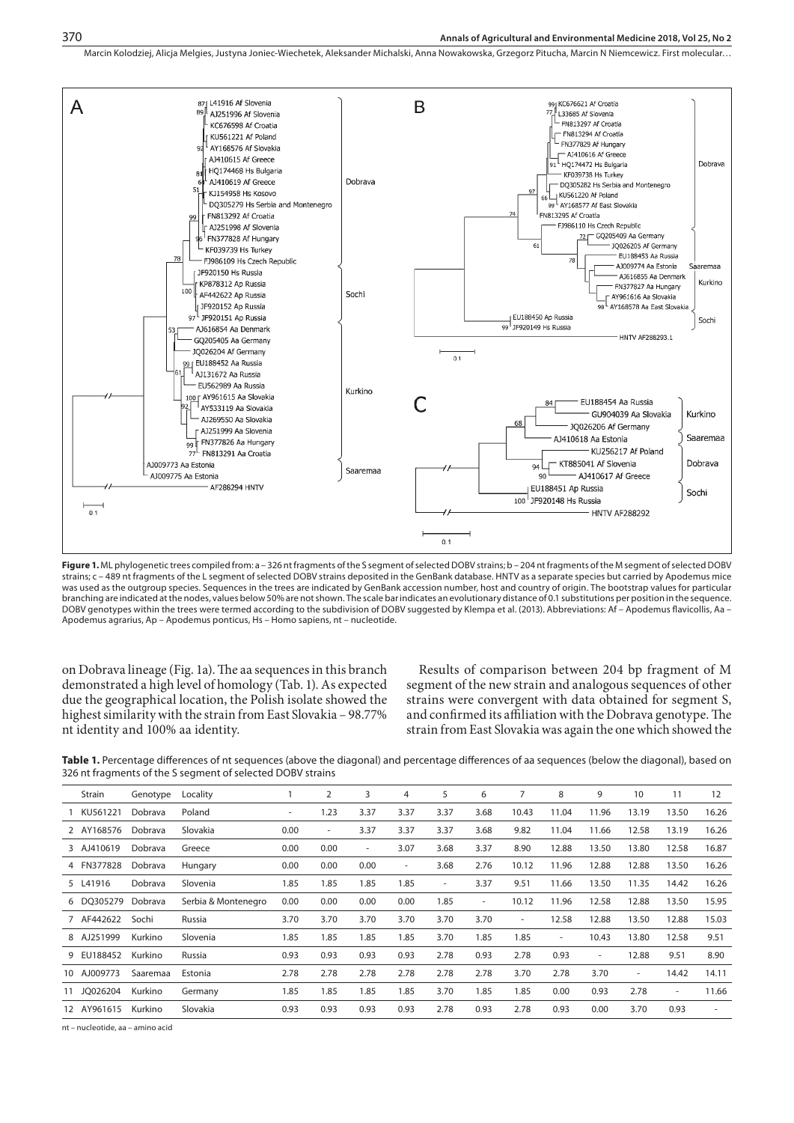Marcin Kolodziej, Alicja Melgies, Justyna Joniec-Wiechetek, Aleksander Michalski, Anna Nowakowska, Grzegorz Pitucha, Marcin N Niemcewicz . First molecular…



**Figure 1.** ML phylogenetic trees compiled from: a – 326 nt fragments of the S segment of selected DOBV strains; b – 204 nt fragments of the M segment of selected DOBV strains; c – 489 nt fragments of the L segment of selected DOBV strains deposited in the GenBank database. HNTV as a separate species but carried by Apodemus mice was used as the outgroup species. Sequences in the trees are indicated by GenBank accession number, host and country of origin. The bootstrap values for particular branching are indicated at the nodes, values below 50% are not shown. The scale bar indicates an evolutionary distance of 0.1 substitutions per position in the sequence. DOBV genotypes within the trees were termed according to the subdivision of DOBV suggested by Klempa et al. (2013). Abbreviations: Af – Apodemus flavicollis, Aa – Apodemus agrarius, Ap – Apodemus ponticus, Hs – Homo sapiens, nt – nucleotide.

on Dobrava lineage (Fig. 1a). The aa sequences in this branch demonstrated a high level of homology (Tab. 1). As expected due the geographical location, the Polish isolate showed the highest similarity with the strain from East Slovakia – 98.77% nt identity and 100% aa identity.

Results of comparison between 204 bp fragment of M segment of the new strain and analogous sequences of other strains were convergent with data obtained for segment S, and confirmed its affiliation with the Dobrava genotype. The strain from East Slovakia was again the one which showed the

Table 1. Percentage differences of nt sequences (above the diagonal) and percentage differences of aa sequences (below the diagonal), based on 326 nt fragments of the S segment of selected DOBV strains

| Strain      | Genotype | Locality            |                          | $\overline{2}$ | 3    | 4                        | 5      | 6                        | 7     | 8                        | 9      | 10                       | 11    | 12    |
|-------------|----------|---------------------|--------------------------|----------------|------|--------------------------|--------|--------------------------|-------|--------------------------|--------|--------------------------|-------|-------|
| 1 KU561221  | Dobrava  | Poland              | $\overline{\phantom{a}}$ | 1.23           | 3.37 | 3.37                     | 3.37   | 3.68                     | 10.43 | 11.04                    | 11.96  | 13.19                    | 13.50 | 16.26 |
| 2 AY168576  | Dobrava  | Slovakia            | 0.00                     | ۰.             | 3.37 | 3.37                     | 3.37   | 3.68                     | 9.82  | 11.04                    | 11.66  | 12.58                    | 13.19 | 16.26 |
| 3 AJ410619  | Dobrava  | Greece              | 0.00                     | 0.00           | ۰    | 3.07                     | 3.68   | 3.37                     | 8.90  | 12.88                    | 13.50  | 13.80                    | 12.58 | 16.87 |
| 4 FN377828  | Dobrava  | Hungary             | 0.00                     | 0.00           | 0.00 | $\overline{\phantom{a}}$ | 3.68   | 2.76                     | 10.12 | 11.96                    | 12.88  | 12.88                    | 13.50 | 16.26 |
| 5 L41916    | Dobrava  | Slovenia            | 1.85                     | 1.85           | 1.85 | 1.85                     | $\sim$ | 3.37                     | 9.51  | 11.66                    | 13.50  | 11.35                    | 14.42 | 16.26 |
| 6 DO305279  | Dobrava  | Serbia & Montenegro | 0.00                     | 0.00           | 0.00 | 0.00                     | 1.85   | $\overline{\phantom{a}}$ | 10.12 | 11.96                    | 12.58  | 12.88                    | 13.50 | 15.95 |
| 7 AF442622  | Sochi    | Russia              | 3.70                     | 3.70           | 3.70 | 3.70                     | 3.70   | 3.70                     | ٠     | 12.58                    | 12.88  | 13.50                    | 12.88 | 15.03 |
| 8 AJ251999  | Kurkino  | Slovenia            | 1.85                     | 1.85           | 1.85 | 1.85                     | 3.70   | 1.85                     | 1.85  | $\overline{\phantom{a}}$ | 10.43  | 13.80                    | 12.58 | 9.51  |
| 9 EU188452  | Kurkino  | Russia              | 0.93                     | 0.93           | 0.93 | 0.93                     | 2.78   | 0.93                     | 2.78  | 0.93                     | $\sim$ | 12.88                    | 9.51  | 8.90  |
| 10 AJ009773 | Saaremaa | Estonia             | 2.78                     | 2.78           | 2.78 | 2.78                     | 2.78   | 2.78                     | 3.70  | 2.78                     | 3.70   | $\overline{\phantom{a}}$ | 14.42 | 14.11 |
| 11 JO026204 | Kurkino  | Germany             | 1.85                     | 1.85           | 1.85 | 1.85                     | 3.70   | 1.85                     | 1.85  | 0.00                     | 0.93   | 2.78                     | ٠     | 11.66 |
| 12 AY961615 | Kurkino  | Slovakia            | 0.93                     | 0.93           | 0.93 | 0.93                     | 2.78   | 0.93                     | 2.78  | 0.93                     | 0.00   | 3.70                     | 0.93  | ٠     |
|             |          |                     |                          |                |      |                          |        |                          |       |                          |        |                          |       |       |

nt – nucleotide, aa – amino acid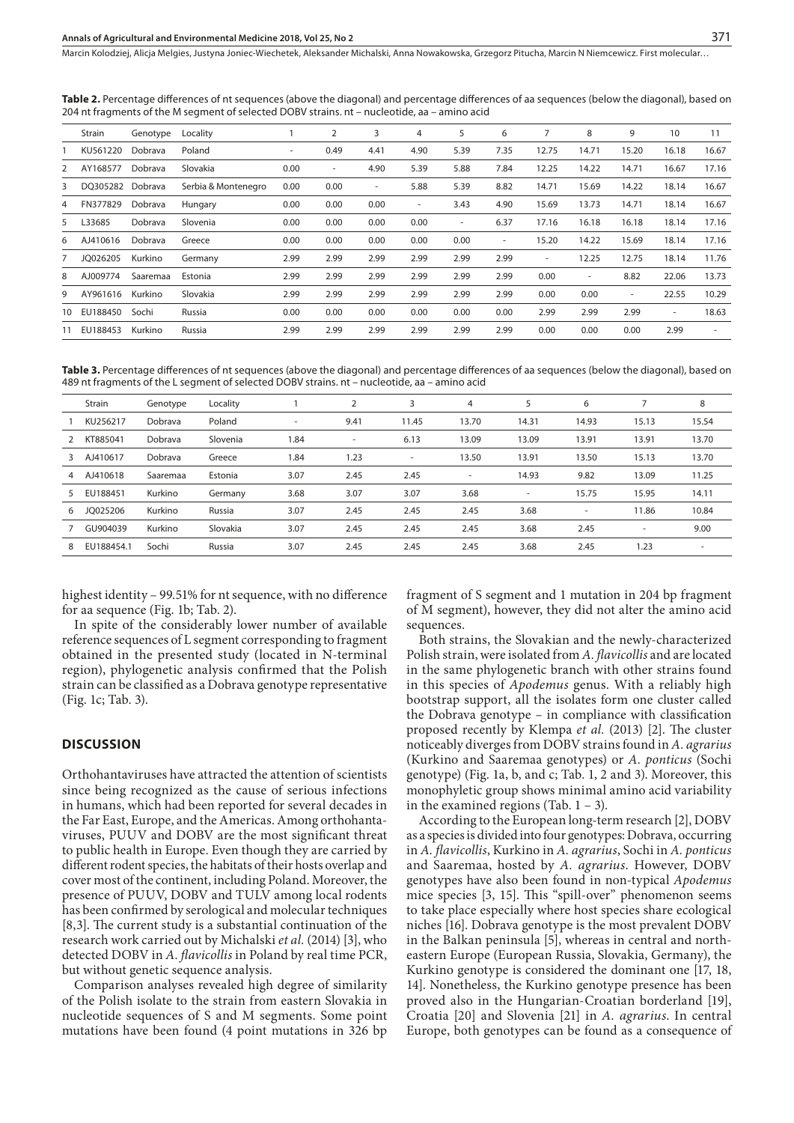Marcin Kolodziej, Alicja Melgies, Justyna Joniec-Wiechetek, Aleksander Michalski, Anna Nowakowska, Grzegorz Pitucha, Marcin N Niemcewicz . First molecular…

**Table 2.** Percentage differences of nt sequences (above the diagonal) and percentage differences of aa sequences (below the diagonal), based on 204 nt fragments of the M segment of selected DOBV strains. nt – nucleotide, aa – amino acid

|                | Strain   | Genotype | Locality            |      | 2    | 3      | 4    | 5                        | 6    | 7     | 8     | 9      | 10                       | 11                       |
|----------------|----------|----------|---------------------|------|------|--------|------|--------------------------|------|-------|-------|--------|--------------------------|--------------------------|
|                | KU561220 | Dobrava  | Poland              | ٠.   | 0.49 | 4.41   | 4.90 | 5.39                     | 7.35 | 12.75 | 14.71 | 15.20  | 16.18                    | 16.67                    |
| $\overline{2}$ | AY168577 | Dobrava  | Slovakia            | 0.00 | ٠    | 4.90   | 5.39 | 5.88                     | 7.84 | 12.25 | 14.22 | 14.71  | 16.67                    | 17.16                    |
| 3              | DO305282 | Dobrava  | Serbia & Montenegro | 0.00 | 0.00 | $\sim$ | 5.88 | 5.39                     | 8.82 | 14.71 | 15.69 | 14.22  | 18.14                    | 16.67                    |
| $\overline{4}$ | FN377829 | Dobrava  | Hungary             | 0.00 | 0.00 | 0.00   | ٠    | 3.43                     | 4.90 | 15.69 | 13.73 | 14.71  | 18.14                    | 16.67                    |
| 5              | L33685   | Dobrava  | Slovenia            | 0.00 | 0.00 | 0.00   | 0.00 | $\overline{\phantom{a}}$ | 6.37 | 17.16 | 16.18 | 16.18  | 18.14                    | 17.16                    |
| 6              | AJ410616 | Dobrava  | Greece              | 0.00 | 0.00 | 0.00   | 0.00 | 0.00                     | ٠    | 15.20 | 14.22 | 15.69  | 18.14                    | 17.16                    |
| $\overline{7}$ | JO026205 | Kurkino  | Germany             | 2.99 | 2.99 | 2.99   | 2.99 | 2.99                     | 2.99 | ٠     | 12.25 | 12.75  | 18.14                    | 11.76                    |
| 8              | AJ009774 | Saaremaa | Estonia             | 2.99 | 2.99 | 2.99   | 2.99 | 2.99                     | 2.99 | 0.00  | ٠     | 8.82   | 22.06                    | 13.73                    |
| 9              | AY961616 | Kurkino  | Slovakia            | 2.99 | 2.99 | 2.99   | 2.99 | 2.99                     | 2.99 | 0.00  | 0.00  | $\sim$ | 22.55                    | 10.29                    |
| 10             | EU188450 | Sochi    | Russia              | 0.00 | 0.00 | 0.00   | 0.00 | 0.00                     | 0.00 | 2.99  | 2.99  | 2.99   | $\overline{\phantom{a}}$ | 18.63                    |
| 11             | EU188453 | Kurkino  | Russia              | 2.99 | 2.99 | 2.99   | 2.99 | 2.99                     | 2.99 | 0.00  | 0.00  | 0.00   | 2.99                     | $\overline{\phantom{a}}$ |
|                |          |          |                     |      |      |        |      |                          |      |       |       |        |                          |                          |

**Table 3.** Percentage differences of nt sequences (above the diagonal) and percentage differences of aa sequences (below the diagonal), based on 489 nt fragments of the L segment of selected DOBV strains. nt – nucleotide, aa – amino acid

|                | Strain     | Genotype | Locality |                          | $\overline{2}$ | 3                        | 4                        | 5                        | 6                        |                          | 8      |
|----------------|------------|----------|----------|--------------------------|----------------|--------------------------|--------------------------|--------------------------|--------------------------|--------------------------|--------|
|                | KU256217   | Dobrava  | Poland   | $\overline{\phantom{a}}$ | 9.41           | 11.45                    | 13.70                    | 14.31                    | 14.93                    | 15.13                    | 15.54  |
|                | KT885041   | Dobrava  | Slovenia | 1.84                     | $\sim$         | 6.13                     | 13.09                    | 13.09                    | 13.91                    | 13.91                    | 13.70  |
| 3              | AJ410617   | Dobrava  | Greece   | 1.84                     | 1.23           | $\overline{\phantom{a}}$ | 13.50                    | 13.91                    | 13.50                    | 15.13                    | 13.70  |
| $\overline{4}$ | AJ410618   | Saaremaa | Estonia  | 3.07                     | 2.45           | 2.45                     | $\overline{\phantom{a}}$ | 14.93                    | 9.82                     | 13.09                    | 11.25  |
| 5              | EU188451   | Kurkino  | Germany  | 3.68                     | 3.07           | 3.07                     | 3.68                     | $\overline{\phantom{a}}$ | 15.75                    | 15.95                    | 14.11  |
| 6              | JO025206   | Kurkino  | Russia   | 3.07                     | 2.45           | 2.45                     | 2.45                     | 3.68                     | $\overline{\phantom{a}}$ | 11.86                    | 10.84  |
|                | GU904039   | Kurkino  | Slovakia | 3.07                     | 2.45           | 2.45                     | 2.45                     | 3.68                     | 2.45                     | $\overline{\phantom{a}}$ | 9.00   |
| 8              | EU188454.1 | Sochi    | Russia   | 3.07                     | 2.45           | 2.45                     | 2.45                     | 3.68                     | 2.45                     | 1.23                     | $\sim$ |
|                |            |          |          |                          |                |                          |                          |                          |                          |                          |        |

highest identity – 99.51% for nt sequence, with no difference for aa sequence (Fig. 1b; Tab. 2).

In spite of the considerably lower number of available reference sequences of L segment corresponding to fragment obtained in the presented study (located in N-terminal region), phylogenetic analysis confirmed that the Polish strain can be classified as a Dobrava genotype representative (Fig. 1c; Tab. 3).

# **DISCUSSION**

Orthohantaviruses have attracted the attention of scientists since being recognized as the cause of serious infections in humans, which had been reported for several decades in the Far East, Europe, and the Americas. Among orthohantaviruses, PUUV and DOBV are the most significant threat to public health in Europe. Even though they are carried by different rodent species, the habitats of their hosts overlap and cover most of the continent, including Poland. Moreover, the presence of PUUV, DOBV and TULV among local rodents has been confirmed by serological and molecular techniques [8,3]. The current study is a substantial continuation of the research work carried out by Michalski *et al.* (2014) [3], who detected DOBV in *A. flavicollis* in Poland by real time PCR, but without genetic sequence analysis.

Comparison analyses revealed high degree of similarity of the Polish isolate to the strain from eastern Slovakia in nucleotide sequences of S and M segments. Some point mutations have been found (4 point mutations in 326 bp fragment of S segment and 1 mutation in 204 bp fragment of M segment), however, they did not alter the amino acid sequences.

Both strains, the Slovakian and the newly-characterized Polish strain, were isolated from *A. flavicollis* and are located in the same phylogenetic branch with other strains found in this species of *Apodemus* genus. With a reliably high bootstrap support, all the isolates form one cluster called the Dobrava genotype – in compliance with classification proposed recently by Klempa *et al.* (2013) [2]. The cluster noticeably diverges from DOBV strains found in *A. agrarius* (Kurkino and Saaremaa genotypes) or *A. ponticus* (Sochi genotype) (Fig. 1a, b, and c; Tab. 1, 2 and 3). Moreover, this monophyletic group shows minimal amino acid variability in the examined regions (Tab.  $1 - 3$ ).

According to the European long-term research [2], DOBV as a species is divided into four genotypes: Dobrava, occurring in *A. flavicollis*, Kurkino in *A. agrarius*, Sochi in *A. ponticus* and Saaremaa, hosted by *A. agrarius*. However, DOBV genotypes have also been found in non-typical *Apodemus* mice species [3, 15]. This "spill-over" phenomenon seems to take place especially where host species share ecological niches [16]. Dobrava genotype is the most prevalent DOBV in the Balkan peninsula [5], whereas in central and northeastern Europe (European Russia, Slovakia, Germany), the Kurkino genotype is considered the dominant one [17, 18, 14]. Nonetheless, the Kurkino genotype presence has been proved also in the Hungarian-Croatian borderland [19], Croatia [20] and Slovenia [21] in *A. agrarius*. In central Europe, both genotypes can be found as a consequence of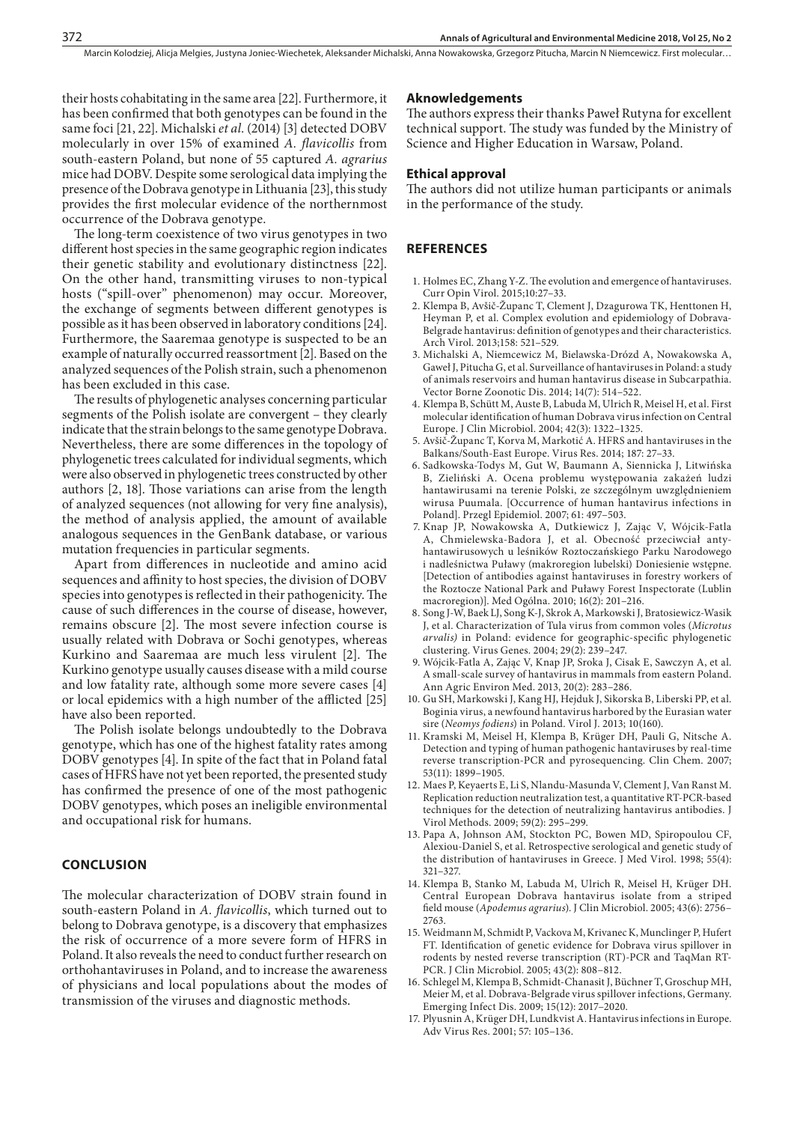their hosts cohabitating in the same area [22]. Furthermore, it has been confirmed that both genotypes can be found in the same foci [21, 22]. Michalski *et al.* (2014) [3] detected DOBV molecularly in over 15% of examined *A. flavicollis* from south-eastern Poland, but none of 55 captured *A. agrarius* mice had DOBV. Despite some serological data implying the presence of the Dobrava genotype in Lithuania [23], this study provides the first molecular evidence of the northernmost occurrence of the Dobrava genotype.

The long-term coexistence of two virus genotypes in two different host species in the same geographic region indicates their genetic stability and evolutionary distinctness [22]. On the other hand, transmitting viruses to non-typical hosts ("spill-over" phenomenon) may occur. Moreover, the exchange of segments between different genotypes is possible as it has been observed in laboratory conditions [24]. Furthermore, the Saaremaa genotype is suspected to be an example of naturally occurred reassortment [2]. Based on the analyzed sequences of the Polish strain, such a phenomenon has been excluded in this case.

The results of phylogenetic analyses concerning particular segments of the Polish isolate are convergent – they clearly indicate that the strain belongs to the same genotype Dobrava. Nevertheless, there are some differences in the topology of phylogenetic trees calculated for individual segments, which were also observed in phylogenetic trees constructed by other authors [2, 18]. Those variations can arise from the length of analyzed sequences (not allowing for very fine analysis), the method of analysis applied, the amount of available analogous sequences in the GenBank database, or various mutation frequencies in particular segments.

Apart from differences in nucleotide and amino acid sequences and affinity to host species, the division of DOBV species into genotypes is reflected in their pathogenicity. The cause of such differences in the course of disease, however, remains obscure [2]. The most severe infection course is usually related with Dobrava or Sochi genotypes, whereas Kurkino and Saaremaa are much less virulent [2]. The Kurkino genotype usually causes disease with a mild course and low fatality rate, although some more severe cases [4] or local epidemics with a high number of the afflicted [25] have also been reported.

The Polish isolate belongs undoubtedly to the Dobrava genotype, which has one of the highest fatality rates among DOBV genotypes [4]. In spite of the fact that in Poland fatal cases of HFRS have not yet been reported, the presented study has confirmed the presence of one of the most pathogenic DOBV genotypes, which poses an ineligible environmental and occupational risk for humans.

## **CONCLUSION**

The molecular characterization of DOBV strain found in south-eastern Poland in *A. flavicollis*, which turned out to belong to Dobrava genotype, is a discovery that emphasizes the risk of occurrence of a more severe form of HFRS in Poland. It also reveals the need to conduct further research on orthohantaviruses in Poland, and to increase the awareness of physicians and local populations about the modes of transmission of the viruses and diagnostic methods.

#### **Aknowledgements**

The authors express their thanks Paweł Rutyna for excellent technical support. The study was funded by the Ministry of Science and Higher Education in Warsaw, Poland.

### **Ethical approval**

The authors did not utilize human participants or animals in the performance of the study.

### **REFERENCES**

- 1. Holmes EC, Zhang Y-Z. The evolution and emergence of hantaviruses. Curr Opin Virol. 2015;10:27–33.
- 2. Klempa B, Avšič-Županc T, Clement J, Dzagurowa TK, Henttonen H, Heyman P, et al. Complex evolution and epidemiology of Dobrava-Belgrade hantavirus: definition of genotypes and their characteristics. Arch Virol. 2013;158: 521–529.
- 3. Michalski A, Niemcewicz M, Bielawska-Drózd A, Nowakowska A, Gaweł J, Pitucha G, et al. Surveillance of hantaviruses in Poland: a study of animals reservoirs and human hantavirus disease in Subcarpathia. Vector Borne Zoonotic Dis. 2014; 14(7): 514–522.
- 4. Klempa B, Schütt M, Auste B, Labuda M, Ulrich R, Meisel H, et al. First molecular identification of human Dobrava virus infection on Central Europe. J Clin Microbiol. 2004; 42(3): 1322–1325.
- 5. Avšič-Županc T, Korva M, Markotić A. HFRS and hantaviruses in the Balkans/South-East Europe. Virus Res. 2014; 187: 27–33.
- 6. Sadkowska-Todys M, Gut W, Baumann A, Siennicka J, Litwińska B, Zieliński A. Ocena problemu występowania zakażeń ludzi hantawirusami na terenie Polski, ze szczególnym uwzględnieniem wirusa Puumala. [Occurrence of human hantavirus infections in Poland]. Przegl Epidemiol. 2007; 61: 497–503.
- 7. Knap JP, Nowakowska A, Dutkiewicz J, Zając V, Wójcik-Fatla A, Chmielewska-Badora J, et al. Obecność przeciwciał antyhantawirusowych u leśników Roztoczańskiego Parku Narodowego i nadleśnictwa Puławy (makroregion lubelski) Doniesienie wstępne. [Detection of antibodies against hantaviruses in forestry workers of the Roztocze National Park and Puławy Forest Inspectorate (Lublin macroregion)]. Med Ogólna. 2010; 16(2): 201–216.
- 8. Song J-W, Baek LJ, Song K-J, Skrok A, Markowski J, Bratosiewicz-Wasik J, et al. Characterization of Tula virus from common voles (*Microtus arvalis)* in Poland: evidence for geographic-specific phylogenetic clustering. Virus Genes. 2004; 29(2): 239–247.
- 9. Wójcik-Fatla A, Zając V, Knap JP, Sroka J, Cisak E, Sawczyn A, et al. A small-scale survey of hantavirus in mammals from eastern Poland. Ann Agric Environ Med. 2013, 20(2): 283–286.
- 10. Gu SH, Markowski J, Kang HJ, Hejduk J, Sikorska B, Liberski PP, et al. Boginia virus, a newfound hantavirus harbored by the Eurasian water sire (*Neomys fodiens*) in Poland. Virol J. 2013; 10(160).
- 11. Kramski M, Meisel H, Klempa B, Krüger DH, Pauli G, Nitsche A. Detection and typing of human pathogenic hantaviruses by real-time reverse transcription-PCR and pyrosequencing. Clin Chem. 2007; 53(11): 1899–1905.
- 12. Maes P, Keyaerts E, Li S, Nlandu-Masunda V, Clement J, Van Ranst M. Replication reduction neutralization test, a quantitative RT-PCR-based techniques for the detection of neutralizing hantavirus antibodies. J Virol Methods. 2009; 59(2): 295–299.
- 13. Papa A, Johnson AM, Stockton PC, Bowen MD, Spiropoulou CF, Alexiou-Daniel S, et al. Retrospective serological and genetic study of the distribution of hantaviruses in Greece. J Med Virol. 1998; 55(4): 321–327.
- 14. Klempa B, Stanko M, Labuda M, Ulrich R, Meisel H, Krüger DH. Central European Dobrava hantavirus isolate from a striped field mouse (*Apodemus agrarius*). J Clin Microbiol. 2005; 43(6): 2756– 2763.
- 15. Weidmann M, Schmidt P, Vackova M, Krivanec K, Munclinger P, Hufert FT. Identification of genetic evidence for Dobrava virus spillover in rodents by nested reverse transcription (RT)-PCR and TaqMan RT-PCR. J Clin Microbiol. 2005; 43(2): 808–812.
- 16. Schlegel M, Klempa B, Schmidt-Chanasit J, Büchner T, Groschup MH, Meier M, et al. Dobrava-Belgrade virus spillover infections, Germany. Emerging Infect Dis. 2009; 15(12): 2017–2020.
- 17. Plyusnin A, Krüger DH, Lundkvist A. Hantavirus infections in Europe. Adv Virus Res. 2001; 57: 105–136.